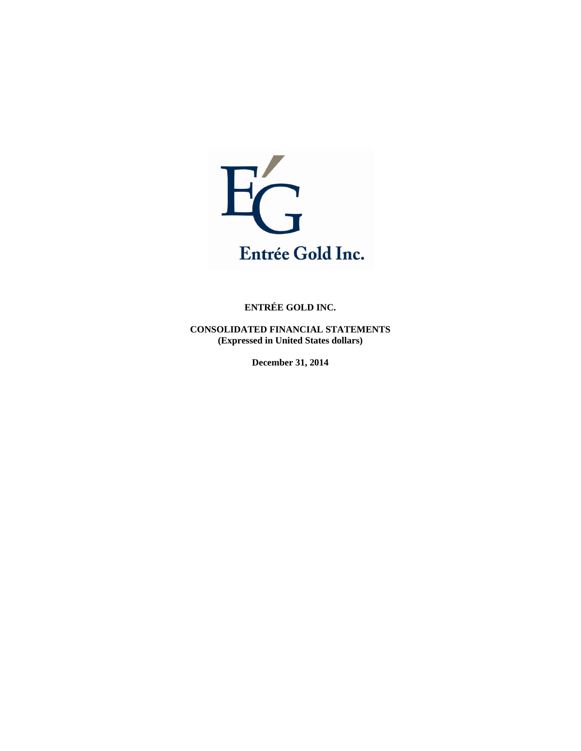

**CONSOLIDATED FINANCIAL STATEMENTS (Expressed in United States dollars)** 

**December 31, 2014**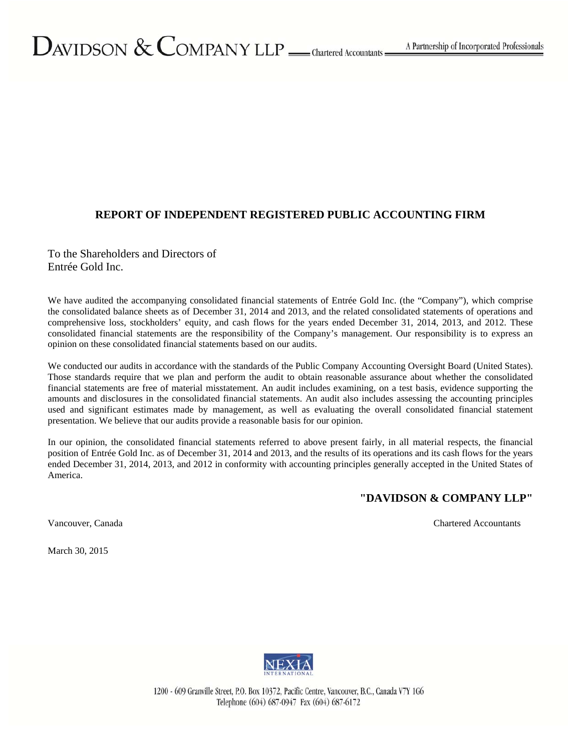# $D_{\text{AVIDSON}} \&$  COMPANY LLP  $\_\_\text{\tiny{Chartered}\,Accountants}$

# **REPORT OF INDEPENDENT REGISTERED PUBLIC ACCOUNTING FIRM**

To the Shareholders and Directors of Entrée Gold Inc.

We have audited the accompanying consolidated financial statements of Entrée Gold Inc. (the "Company"), which comprise the consolidated balance sheets as of December 31, 2014 and 2013, and the related consolidated statements of operations and comprehensive loss, stockholders' equity, and cash flows for the years ended December 31, 2014, 2013, and 2012. These consolidated financial statements are the responsibility of the Company's management. Our responsibility is to express an opinion on these consolidated financial statements based on our audits.

We conducted our audits in accordance with the standards of the Public Company Accounting Oversight Board (United States). Those standards require that we plan and perform the audit to obtain reasonable assurance about whether the consolidated financial statements are free of material misstatement. An audit includes examining, on a test basis, evidence supporting the amounts and disclosures in the consolidated financial statements. An audit also includes assessing the accounting principles used and significant estimates made by management, as well as evaluating the overall consolidated financial statement presentation. We believe that our audits provide a reasonable basis for our opinion.

In our opinion, the consolidated financial statements referred to above present fairly, in all material respects, the financial position of Entrée Gold Inc. as of December 31, 2014 and 2013, and the results of its operations and its cash flows for the years ended December 31, 2014, 2013, and 2012 in conformity with accounting principles generally accepted in the United States of America.

# **"DAVIDSON & COMPANY LLP"**

Vancouver, Canada Chartered Accountants

March 30, 2015



1200 - 609 Granville Street, P.O. Box 10372, Pacific Centre, Vancouver, B.C., Canada V7Y 1G6 Telephone (604) 687-0947 Fax (604) 687-6172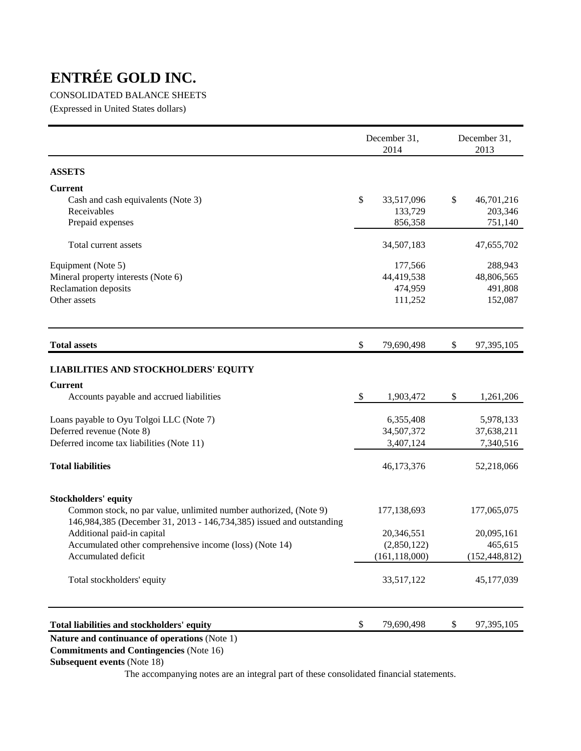# CONSOLIDATED BALANCE SHEETS

(Expressed in United States dollars)

|                                                                      |            | December 31,<br>2014 | December 31,<br>2013 |
|----------------------------------------------------------------------|------------|----------------------|----------------------|
| <b>ASSETS</b>                                                        |            |                      |                      |
| <b>Current</b>                                                       |            |                      |                      |
| Cash and cash equivalents (Note 3)                                   | \$         | 33,517,096           | \$<br>46,701,216     |
| Receivables                                                          |            | 133,729              | 203,346              |
| Prepaid expenses                                                     |            | 856,358              | 751,140              |
| Total current assets                                                 |            | 34,507,183           | 47,655,702           |
| Equipment (Note 5)                                                   |            | 177,566              | 288,943              |
| Mineral property interests (Note 6)                                  |            | 44,419,538           | 48,806,565           |
| Reclamation deposits                                                 |            | 474,959              | 491,808              |
| Other assets                                                         |            | 111,252              | 152,087              |
| <b>Total assets</b>                                                  | \$         | 79,690,498           | \$<br>97,395,105     |
| <b>LIABILITIES AND STOCKHOLDERS' EQUITY</b>                          |            |                      |                      |
| <b>Current</b>                                                       |            |                      |                      |
| Accounts payable and accrued liabilities                             | $\sqrt{3}$ | 1,903,472            | \$<br>1,261,206      |
| Loans payable to Oyu Tolgoi LLC (Note 7)                             |            | 6,355,408            | 5,978,133            |
| Deferred revenue (Note 8)                                            |            | 34,507,372           | 37,638,211           |
| Deferred income tax liabilities (Note 11)                            |            | 3,407,124            | 7,340,516            |
| <b>Total liabilities</b>                                             |            | 46,173,376           | 52,218,066           |
| <b>Stockholders' equity</b>                                          |            |                      |                      |
| Common stock, no par value, unlimited number authorized, (Note 9)    |            | 177,138,693          | 177,065,075          |
| 146,984,385 (December 31, 2013 - 146,734,385) issued and outstanding |            |                      |                      |
| Additional paid-in capital                                           |            | 20,346,551           | 20,095,161           |
| Accumulated other comprehensive income (loss) (Note 14)              |            | (2,850,122)          | 465,615              |
| Accumulated deficit                                                  |            | (161, 118, 000)      | (152, 448, 812)      |
| Total stockholders' equity                                           |            | 33,517,122           | 45,177,039           |
| Total liabilities and stockholders' equity                           | \$         | 79,690,498           | \$<br>97,395,105     |
|                                                                      |            |                      |                      |

# **Nature and continuance of operations** (Note 1)

 **Commitments and Contingencies** (Note 16)

# **Subsequent events** (Note 18)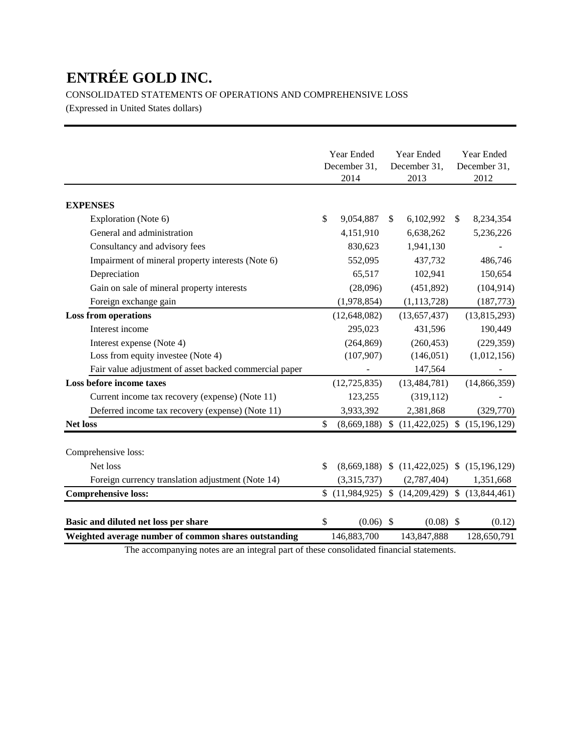CONSOLIDATED STATEMENTS OF OPERATIONS AND COMPREHENSIVE LOSS

(Expressed in United States dollars)

|                                                        | Year Ended        |              | Year Ended                      |              | Year Ended     |
|--------------------------------------------------------|-------------------|--------------|---------------------------------|--------------|----------------|
|                                                        | December 31,      |              | December 31,                    |              | December 31,   |
|                                                        | 2014              |              | 2013                            |              | 2012           |
|                                                        |                   |              |                                 |              |                |
| <b>EXPENSES</b>                                        |                   |              |                                 |              |                |
| Exploration (Note 6)                                   | \$<br>9,054,887   | $\mathbb{S}$ | 6,102,992                       | $\mathbb{S}$ | 8,234,354      |
| General and administration                             | 4,151,910         |              | 6,638,262                       |              | 5,236,226      |
| Consultancy and advisory fees                          | 830,623           |              | 1,941,130                       |              |                |
| Impairment of mineral property interests (Note 6)      | 552,095           |              | 437,732                         |              | 486,746        |
| Depreciation                                           | 65,517            |              | 102,941                         |              | 150,654        |
| Gain on sale of mineral property interests             | (28,096)          |              | (451, 892)                      |              | (104, 914)     |
| Foreign exchange gain                                  | (1,978,854)       |              | (1, 113, 728)                   |              | (187, 773)     |
| <b>Loss from operations</b>                            | (12, 648, 082)    |              | (13,657,437)                    |              | (13, 815, 293) |
| Interest income                                        | 295,023           |              | 431,596                         |              | 190,449        |
| Interest expense (Note 4)                              | (264, 869)        |              | (260, 453)                      |              | (229, 359)     |
| Loss from equity investee (Note 4)                     | (107, 907)        |              | (146, 051)                      |              | (1,012,156)    |
| Fair value adjustment of asset backed commercial paper |                   |              | 147,564                         |              |                |
| Loss before income taxes                               | (12, 725, 835)    |              | (13, 484, 781)                  |              | (14, 866, 359) |
| Current income tax recovery (expense) (Note 11)        | 123,255           |              | (319, 112)                      |              |                |
| Deferred income tax recovery (expense) (Note 11)       | 3,933,392         |              | 2,381,868                       |              | (329,770)      |
| <b>Net loss</b>                                        | \$<br>(8,669,188) | $\mathbb{S}$ | (11, 422, 025)                  | \$           | (15, 196, 129) |
| Comprehensive loss:                                    |                   |              |                                 |              |                |
| Net loss                                               | \$                |              | $(8,669,188)$ \$ $(11,422,025)$ |              | \$(15,196,129) |
| Foreign currency translation adjustment (Note 14)      | (3,315,737)       |              | (2,787,404)                     |              | 1,351,668      |
| <b>Comprehensive loss:</b>                             | (11,984,925)      |              | (14,209,429)                    |              | \$(13,844,461) |
|                                                        |                   |              |                                 |              |                |
| Basic and diluted net loss per share                   | \$<br>$(0.06)$ \$ |              | $(0.08)$ \$                     |              | (0.12)         |
| Weighted average number of common shares outstanding   | 146,883,700       |              | 143,847,888                     |              | 128,650,791    |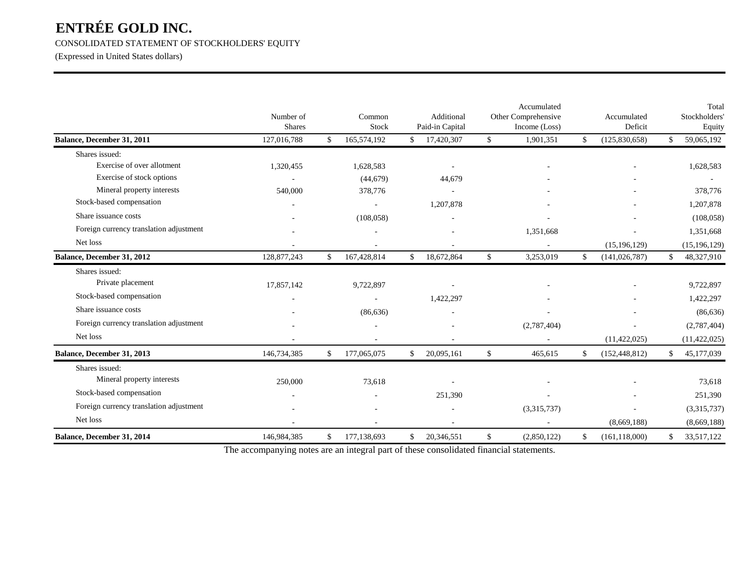CONSOLIDATED STATEMENT OF STOCKHOLDERS' EQUITY

(Expressed in United States dollars)

|                                         | Number of<br><b>Shares</b> |              | Common<br>Stock |     | Additional<br>Paid-in Capital | Accumulated<br>Other Comprehensive<br>Income (Loss) | Accumulated<br>Deficit |              | Total<br>Stockholders'<br>Equity |
|-----------------------------------------|----------------------------|--------------|-----------------|-----|-------------------------------|-----------------------------------------------------|------------------------|--------------|----------------------------------|
| Balance, December 31, 2011              | 127,016,788                | $\mathbb{S}$ | 165,574,192     | \$  | 17,420,307                    | \$<br>1,901,351                                     | \$<br>(125,830,658)    | $\mathbb{S}$ | 59,065,192                       |
| Shares issued:                          |                            |              |                 |     |                               |                                                     |                        |              |                                  |
| Exercise of over allotment              | 1,320,455                  |              | 1,628,583       |     | $\sim$                        |                                                     |                        |              | 1,628,583                        |
| Exercise of stock options               |                            |              | (44, 679)       |     | 44,679                        |                                                     |                        |              |                                  |
| Mineral property interests              | 540,000                    |              | 378,776         |     |                               |                                                     |                        |              | 378,776                          |
| Stock-based compensation                |                            |              |                 |     | 1,207,878                     |                                                     |                        |              | 1,207,878                        |
| Share issuance costs                    |                            |              | (108, 058)      |     |                               |                                                     |                        |              | (108, 058)                       |
| Foreign currency translation adjustment |                            |              |                 |     |                               | 1,351,668                                           | $\sim$                 |              | 1,351,668                        |
| Net loss                                |                            |              |                 |     |                               |                                                     | (15, 196, 129)         |              | (15, 196, 129)                   |
| Balance, December 31, 2012              | 128,877,243                | \$           | 167,428,814     | \$  | 18,672,864                    | \$<br>3,253,019                                     | \$<br>(141, 026, 787)  | $\mathbb{S}$ | 48,327,910                       |
| Shares issued:                          |                            |              |                 |     |                               |                                                     |                        |              |                                  |
| Private placement                       | 17,857,142                 |              | 9,722,897       |     |                               |                                                     |                        |              | 9,722,897                        |
| Stock-based compensation                |                            |              |                 |     | 1,422,297                     |                                                     |                        |              | 1,422,297                        |
| Share issuance costs                    |                            |              | (86, 636)       |     |                               |                                                     |                        |              | (86, 636)                        |
| Foreign currency translation adjustment |                            |              |                 |     |                               | (2,787,404)                                         |                        |              | (2,787,404)                      |
| Net loss                                |                            |              |                 |     |                               |                                                     | (11, 422, 025)         |              | (11, 422, 025)                   |
| Balance, December 31, 2013              | 146,734,385                | \$           | 177,065,075     | \$. | 20,095,161                    | \$<br>465,615                                       | \$<br>(152, 448, 812)  | \$           | 45,177,039                       |
| Shares issued:                          |                            |              |                 |     |                               |                                                     |                        |              |                                  |
| Mineral property interests              | 250,000                    |              | 73,618          |     |                               |                                                     |                        |              | 73,618                           |
| Stock-based compensation                |                            |              |                 |     | 251,390                       |                                                     |                        |              | 251,390                          |
| Foreign currency translation adjustment |                            |              |                 |     |                               | (3,315,737)                                         |                        |              | (3,315,737)                      |
| Net loss                                |                            |              |                 |     |                               |                                                     | (8,669,188)            |              | (8,669,188)                      |
| Balance, December 31, 2014              | 146,984,385                | \$           | 177,138,693     | \$. | 20,346,551                    | \$<br>(2,850,122)                                   | \$<br>(161, 118, 000)  | \$           | 33,517,122                       |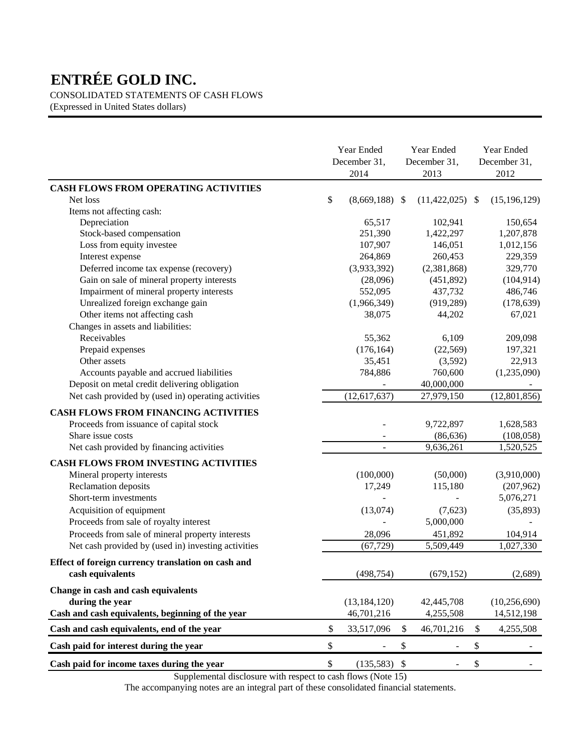CONSOLIDATED STATEMENTS OF CASH FLOWS

(Expressed in United States dollars)

|                                                     |                           | Year Ended<br>December 31,<br>2014 |     | Year Ended<br>December 31,<br>2013 | Year Ended<br>December 31,<br>2012 |
|-----------------------------------------------------|---------------------------|------------------------------------|-----|------------------------------------|------------------------------------|
| <b>CASH FLOWS FROM OPERATING ACTIVITIES</b>         |                           |                                    |     |                                    |                                    |
| Net loss                                            | \$                        | (8,669,188)                        | -\$ | $(11,422,025)$ \$                  | (15, 196, 129)                     |
| Items not affecting cash:                           |                           |                                    |     |                                    |                                    |
| Depreciation                                        |                           | 65,517                             |     | 102,941                            | 150,654                            |
| Stock-based compensation                            |                           | 251,390                            |     | 1,422,297                          | 1,207,878                          |
| Loss from equity investee                           |                           | 107,907                            |     | 146,051                            | 1,012,156                          |
| Interest expense                                    |                           | 264,869                            |     | 260,453                            | 229,359                            |
| Deferred income tax expense (recovery)              |                           | (3,933,392)                        |     | (2,381,868)                        | 329,770                            |
| Gain on sale of mineral property interests          |                           | (28,096)                           |     | (451, 892)                         | (104, 914)                         |
| Impairment of mineral property interests            |                           | 552,095                            |     | 437,732                            | 486,746                            |
| Unrealized foreign exchange gain                    |                           | (1,966,349)                        |     | (919, 289)                         | (178, 639)                         |
| Other items not affecting cash                      |                           | 38,075                             |     | 44,202                             | 67,021                             |
| Changes in assets and liabilities:                  |                           |                                    |     |                                    |                                    |
| Receivables                                         |                           | 55,362                             |     | 6,109                              | 209,098                            |
| Prepaid expenses                                    |                           | (176, 164)                         |     | (22, 569)                          | 197,321                            |
| Other assets                                        |                           | 35,451                             |     | (3,592)                            | 22,913                             |
| Accounts payable and accrued liabilities            |                           | 784,886                            |     | 760,600                            | (1,235,090)                        |
| Deposit on metal credit delivering obligation       |                           |                                    |     | 40,000,000                         |                                    |
| Net cash provided by (used in) operating activities |                           | (12, 617, 637)                     |     | 27,979,150                         | (12, 801, 856)                     |
| <b>CASH FLOWS FROM FINANCING ACTIVITIES</b>         |                           |                                    |     |                                    |                                    |
| Proceeds from issuance of capital stock             |                           |                                    |     | 9,722,897                          | 1,628,583                          |
| Share issue costs                                   |                           |                                    |     | (86, 636)                          | (108, 058)                         |
| Net cash provided by financing activities           |                           |                                    |     | 9,636,261                          | 1,520,525                          |
|                                                     |                           |                                    |     |                                    |                                    |
| <b>CASH FLOWS FROM INVESTING ACTIVITIES</b>         |                           |                                    |     |                                    |                                    |
| Mineral property interests                          |                           | (100,000)                          |     | (50,000)                           | (3,910,000)                        |
| Reclamation deposits                                |                           | 17,249                             |     | 115,180                            | (207, 962)                         |
| Short-term investments                              |                           |                                    |     |                                    | 5,076,271                          |
| Acquisition of equipment                            |                           | (13,074)                           |     | (7,623)                            | (35,893)                           |
| Proceeds from sale of royalty interest              |                           |                                    |     | 5,000,000                          |                                    |
| Proceeds from sale of mineral property interests    |                           | 28,096                             |     | 451,892                            | 104,914                            |
| Net cash provided by (used in) investing activities |                           | (67, 729)                          |     | 5,509,449                          | 1,027,330                          |
| Effect of foreign currency translation on cash and  |                           |                                    |     |                                    |                                    |
| cash equivalents                                    |                           | (498, 754)                         |     | (679, 152)                         | (2,689)                            |
| Change in cash and cash equivalents                 |                           |                                    |     |                                    |                                    |
| during the year                                     |                           | (13, 184, 120)                     |     | 42,445,708                         | (10, 256, 690)                     |
| Cash and cash equivalents, beginning of the year    |                           | 46,701,216                         |     | 4,255,508                          | 14,512,198                         |
|                                                     |                           |                                    |     |                                    |                                    |
| Cash and cash equivalents, end of the year          | \$                        | 33,517,096                         | \$  | 46,701,216                         | \$<br>4,255,508                    |
| Cash paid for interest during the year              | \$                        |                                    | \$  |                                    | \$                                 |
| Cash paid for income taxes during the year          | $\boldsymbol{\mathsf{S}}$ | $(135,583)$ \$                     |     |                                    | \$                                 |

Supplemental disclosure with respect to cash flows (Note 15)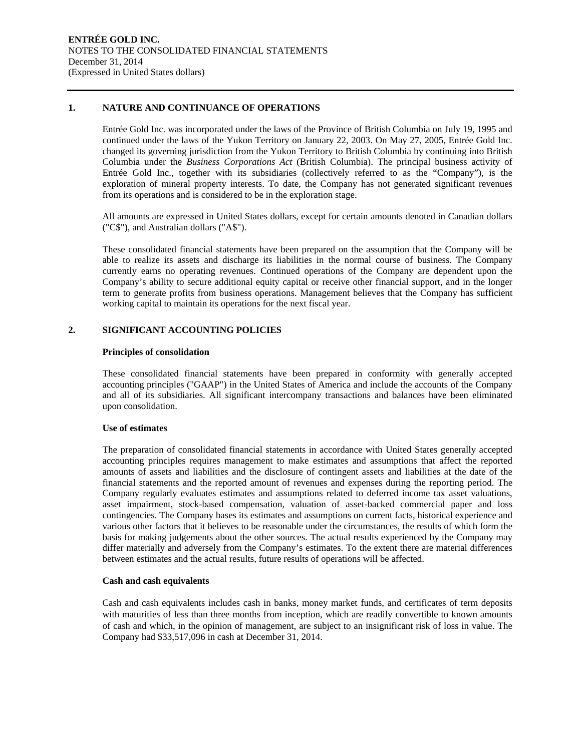#### **1. NATURE AND CONTINUANCE OF OPERATIONS**

Entrée Gold Inc. was incorporated under the laws of the Province of British Columbia on July 19, 1995 and continued under the laws of the Yukon Territory on January 22, 2003. On May 27, 2005, Entrée Gold Inc. changed its governing jurisdiction from the Yukon Territory to British Columbia by continuing into British Columbia under the *Business Corporations Act* (British Columbia). The principal business activity of Entrée Gold Inc., together with its subsidiaries (collectively referred to as the "Company"), is the exploration of mineral property interests. To date, the Company has not generated significant revenues from its operations and is considered to be in the exploration stage.

All amounts are expressed in United States dollars, except for certain amounts denoted in Canadian dollars ("C\$"), and Australian dollars ("A\$").

These consolidated financial statements have been prepared on the assumption that the Company will be able to realize its assets and discharge its liabilities in the normal course of business. The Company currently earns no operating revenues. Continued operations of the Company are dependent upon the Company's ability to secure additional equity capital or receive other financial support, and in the longer term to generate profits from business operations. Management believes that the Company has sufficient working capital to maintain its operations for the next fiscal year.

#### **2. SIGNIFICANT ACCOUNTING POLICIES**

#### **Principles of consolidation**

These consolidated financial statements have been prepared in conformity with generally accepted accounting principles ("GAAP") in the United States of America and include the accounts of the Company and all of its subsidiaries. All significant intercompany transactions and balances have been eliminated upon consolidation.

#### **Use of estimates**

The preparation of consolidated financial statements in accordance with United States generally accepted accounting principles requires management to make estimates and assumptions that affect the reported amounts of assets and liabilities and the disclosure of contingent assets and liabilities at the date of the financial statements and the reported amount of revenues and expenses during the reporting period. The Company regularly evaluates estimates and assumptions related to deferred income tax asset valuations, asset impairment, stock-based compensation, valuation of asset-backed commercial paper and loss contingencies. The Company bases its estimates and assumptions on current facts, historical experience and various other factors that it believes to be reasonable under the circumstances, the results of which form the basis for making judgements about the other sources. The actual results experienced by the Company may differ materially and adversely from the Company's estimates. To the extent there are material differences between estimates and the actual results, future results of operations will be affected.

#### **Cash and cash equivalents**

Cash and cash equivalents includes cash in banks, money market funds, and certificates of term deposits with maturities of less than three months from inception, which are readily convertible to known amounts of cash and which, in the opinion of management, are subject to an insignificant risk of loss in value. The Company had \$33,517,096 in cash at December 31, 2014.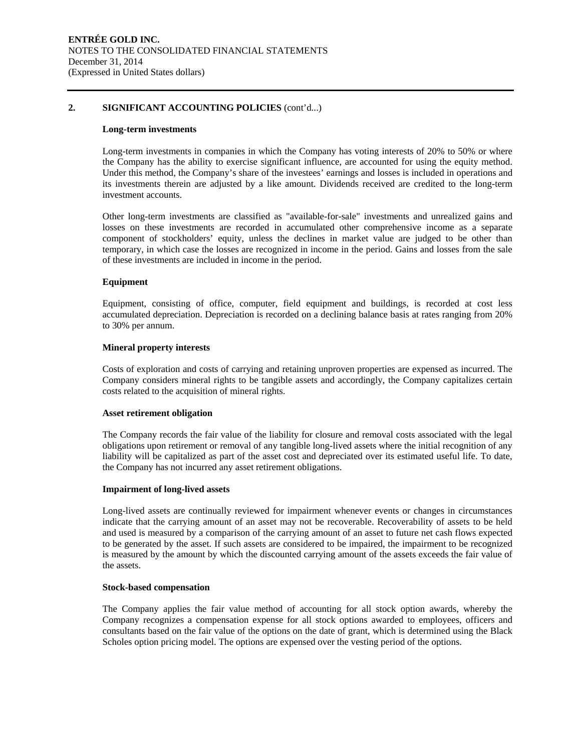#### **2. SIGNIFICANT ACCOUNTING POLICIES** (cont'd...)

#### **Long-term investments**

Long-term investments in companies in which the Company has voting interests of 20% to 50% or where the Company has the ability to exercise significant influence, are accounted for using the equity method. Under this method, the Company's share of the investees' earnings and losses is included in operations and its investments therein are adjusted by a like amount. Dividends received are credited to the long-term investment accounts.

Other long-term investments are classified as "available-for-sale" investments and unrealized gains and losses on these investments are recorded in accumulated other comprehensive income as a separate component of stockholders' equity, unless the declines in market value are judged to be other than temporary, in which case the losses are recognized in income in the period. Gains and losses from the sale of these investments are included in income in the period.

#### **Equipment**

Equipment, consisting of office, computer, field equipment and buildings, is recorded at cost less accumulated depreciation. Depreciation is recorded on a declining balance basis at rates ranging from 20% to 30% per annum.

#### **Mineral property interests**

Costs of exploration and costs of carrying and retaining unproven properties are expensed as incurred. The Company considers mineral rights to be tangible assets and accordingly, the Company capitalizes certain costs related to the acquisition of mineral rights.

#### **Asset retirement obligation**

The Company records the fair value of the liability for closure and removal costs associated with the legal obligations upon retirement or removal of any tangible long-lived assets where the initial recognition of any liability will be capitalized as part of the asset cost and depreciated over its estimated useful life. To date, the Company has not incurred any asset retirement obligations.

#### **Impairment of long-lived assets**

Long-lived assets are continually reviewed for impairment whenever events or changes in circumstances indicate that the carrying amount of an asset may not be recoverable. Recoverability of assets to be held and used is measured by a comparison of the carrying amount of an asset to future net cash flows expected to be generated by the asset. If such assets are considered to be impaired, the impairment to be recognized is measured by the amount by which the discounted carrying amount of the assets exceeds the fair value of the assets.

#### **Stock-based compensation**

The Company applies the fair value method of accounting for all stock option awards, whereby the Company recognizes a compensation expense for all stock options awarded to employees, officers and consultants based on the fair value of the options on the date of grant, which is determined using the Black Scholes option pricing model. The options are expensed over the vesting period of the options.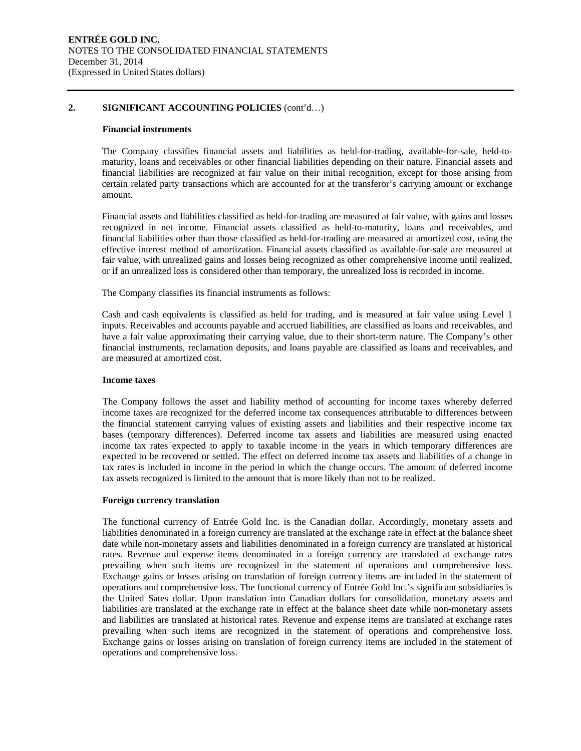#### **2. SIGNIFICANT ACCOUNTING POLICIES** (cont'd…)

#### **Financial instruments**

The Company classifies financial assets and liabilities as held-for-trading, available-for-sale, held-tomaturity, loans and receivables or other financial liabilities depending on their nature. Financial assets and financial liabilities are recognized at fair value on their initial recognition, except for those arising from certain related party transactions which are accounted for at the transferor's carrying amount or exchange amount.

Financial assets and liabilities classified as held-for-trading are measured at fair value, with gains and losses recognized in net income. Financial assets classified as held-to-maturity, loans and receivables, and financial liabilities other than those classified as held-for-trading are measured at amortized cost, using the effective interest method of amortization. Financial assets classified as available-for-sale are measured at fair value, with unrealized gains and losses being recognized as other comprehensive income until realized, or if an unrealized loss is considered other than temporary, the unrealized loss is recorded in income.

The Company classifies its financial instruments as follows:

Cash and cash equivalents is classified as held for trading, and is measured at fair value using Level 1 inputs. Receivables and accounts payable and accrued liabilities, are classified as loans and receivables, and have a fair value approximating their carrying value, due to their short-term nature. The Company's other financial instruments, reclamation deposits, and loans payable are classified as loans and receivables, and are measured at amortized cost.

#### **Income taxes**

The Company follows the asset and liability method of accounting for income taxes whereby deferred income taxes are recognized for the deferred income tax consequences attributable to differences between the financial statement carrying values of existing assets and liabilities and their respective income tax bases (temporary differences). Deferred income tax assets and liabilities are measured using enacted income tax rates expected to apply to taxable income in the years in which temporary differences are expected to be recovered or settled. The effect on deferred income tax assets and liabilities of a change in tax rates is included in income in the period in which the change occurs. The amount of deferred income tax assets recognized is limited to the amount that is more likely than not to be realized.

#### **Foreign currency translation**

The functional currency of Entrée Gold Inc. is the Canadian dollar. Accordingly, monetary assets and liabilities denominated in a foreign currency are translated at the exchange rate in effect at the balance sheet date while non-monetary assets and liabilities denominated in a foreign currency are translated at historical rates. Revenue and expense items denominated in a foreign currency are translated at exchange rates prevailing when such items are recognized in the statement of operations and comprehensive loss. Exchange gains or losses arising on translation of foreign currency items are included in the statement of operations and comprehensive loss. The functional currency of Entrée Gold Inc.'s significant subsidiaries is the United Sates dollar. Upon translation into Canadian dollars for consolidation, monetary assets and liabilities are translated at the exchange rate in effect at the balance sheet date while non-monetary assets and liabilities are translated at historical rates. Revenue and expense items are translated at exchange rates prevailing when such items are recognized in the statement of operations and comprehensive loss. Exchange gains or losses arising on translation of foreign currency items are included in the statement of operations and comprehensive loss.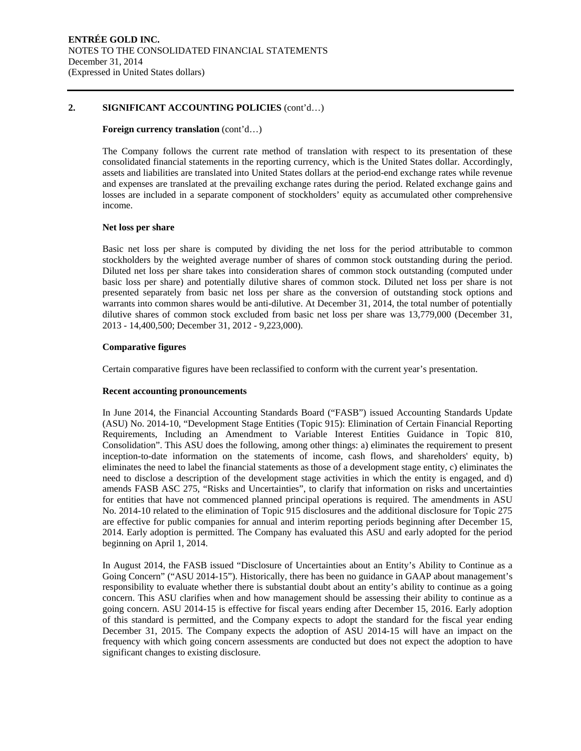#### **2. SIGNIFICANT ACCOUNTING POLICIES** (cont'd…)

#### **Foreign currency translation** (cont'd…)

The Company follows the current rate method of translation with respect to its presentation of these consolidated financial statements in the reporting currency, which is the United States dollar. Accordingly, assets and liabilities are translated into United States dollars at the period-end exchange rates while revenue and expenses are translated at the prevailing exchange rates during the period. Related exchange gains and losses are included in a separate component of stockholders' equity as accumulated other comprehensive income.

#### **Net loss per share**

Basic net loss per share is computed by dividing the net loss for the period attributable to common stockholders by the weighted average number of shares of common stock outstanding during the period. Diluted net loss per share takes into consideration shares of common stock outstanding (computed under basic loss per share) and potentially dilutive shares of common stock. Diluted net loss per share is not presented separately from basic net loss per share as the conversion of outstanding stock options and warrants into common shares would be anti-dilutive. At December 31, 2014, the total number of potentially dilutive shares of common stock excluded from basic net loss per share was 13,779,000 (December 31, 2013 - 14,400,500; December 31, 2012 - 9,223,000).

#### **Comparative figures**

Certain comparative figures have been reclassified to conform with the current year's presentation.

#### **Recent accounting pronouncements**

In June 2014, the Financial Accounting Standards Board ("FASB") issued Accounting Standards Update (ASU) No. 2014-10, "Development Stage Entities (Topic 915): Elimination of Certain Financial Reporting Requirements, Including an Amendment to Variable Interest Entities Guidance in Topic 810, Consolidation". This ASU does the following, among other things: a) eliminates the requirement to present inception-to-date information on the statements of income, cash flows, and shareholders' equity, b) eliminates the need to label the financial statements as those of a development stage entity, c) eliminates the need to disclose a description of the development stage activities in which the entity is engaged, and d) amends FASB ASC 275, "Risks and Uncertainties", to clarify that information on risks and uncertainties for entities that have not commenced planned principal operations is required. The amendments in ASU No. 2014-10 related to the elimination of Topic 915 disclosures and the additional disclosure for Topic 275 are effective for public companies for annual and interim reporting periods beginning after December 15, 2014. Early adoption is permitted. The Company has evaluated this ASU and early adopted for the period beginning on April 1, 2014.

In August 2014, the FASB issued "Disclosure of Uncertainties about an Entity's Ability to Continue as a Going Concern" ("ASU 2014-15"). Historically, there has been no guidance in GAAP about management's responsibility to evaluate whether there is substantial doubt about an entity's ability to continue as a going concern. This ASU clarifies when and how management should be assessing their ability to continue as a going concern. ASU 2014-15 is effective for fiscal years ending after December 15, 2016. Early adoption of this standard is permitted, and the Company expects to adopt the standard for the fiscal year ending December 31, 2015. The Company expects the adoption of ASU 2014-15 will have an impact on the frequency with which going concern assessments are conducted but does not expect the adoption to have significant changes to existing disclosure.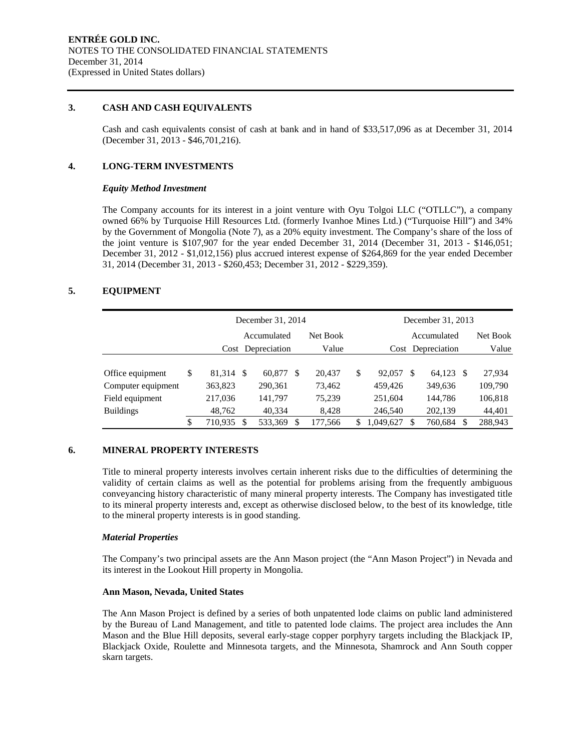#### **3. CASH AND CASH EQUIVALENTS**

Cash and cash equivalents consist of cash at bank and in hand of \$33,517,096 as at December 31, 2014 (December 31, 2013 - \$46,701,216).

#### **4. LONG-TERM INVESTMENTS**

#### *Equity Method Investment*

The Company accounts for its interest in a joint venture with Oyu Tolgoi LLC ("OTLLC"), a company owned 66% by Turquoise Hill Resources Ltd. (formerly Ivanhoe Mines Ltd.) ("Turquoise Hill") and 34% by the Government of Mongolia (Note 7), as a 20% equity investment. The Company's share of the loss of the joint venture is \$107,907 for the year ended December 31, 2014 (December 31, 2013 - \$146,051; December 31, 2012 - \$1,012,156) plus accrued interest expense of \$264,869 for the year ended December 31, 2014 (December 31, 2013 - \$260,453; December 31, 2012 - \$229,359).

### **5. EQUIPMENT**

|                    | December 31, 2014 |                                                 |         |       |         |    | December 31, 2013 |             |           |          |         |
|--------------------|-------------------|-------------------------------------------------|---------|-------|---------|----|-------------------|-------------|-----------|----------|---------|
|                    |                   | Net Book<br>Accumulated                         |         |       |         |    |                   | Accumulated |           | Net Book |         |
|                    |                   | Cost Depreciation<br>Value<br>Cost Depreciation |         | Value |         |    |                   |             |           |          |         |
|                    |                   |                                                 |         |       |         |    |                   |             |           |          |         |
| Office equipment   | \$<br>81,314 \$   |                                                 | 60,877  | -S    | 20,437  | \$ | 92,057            | \$.         | 64,123 \$ |          | 27,934  |
| Computer equipment | 363,823           |                                                 | 290.361 |       | 73.462  |    | 459,426           |             | 349,636   |          | 109,790 |
| Field equipment    | 217,036           |                                                 | 141,797 |       | 75,239  |    | 251,604           |             | 144,786   |          | 106,818 |
| <b>Buildings</b>   | 48.762            |                                                 | 40.334  |       | 8.428   |    | 246,540           |             | 202.139   |          | 44,401  |
|                    | \$<br>710,935     | \$                                              | 533,369 | S     | 177,566 | S  | 1.049.627         | S           | 760,684   | S        | 288,943 |

#### **6. MINERAL PROPERTY INTERESTS**

Title to mineral property interests involves certain inherent risks due to the difficulties of determining the validity of certain claims as well as the potential for problems arising from the frequently ambiguous conveyancing history characteristic of many mineral property interests. The Company has investigated title to its mineral property interests and, except as otherwise disclosed below, to the best of its knowledge, title to the mineral property interests is in good standing.

#### *Material Properties*

The Company's two principal assets are the Ann Mason project (the "Ann Mason Project") in Nevada and its interest in the Lookout Hill property in Mongolia.

#### **Ann Mason, Nevada, United States**

The Ann Mason Project is defined by a series of both unpatented lode claims on public land administered by the Bureau of Land Management, and title to patented lode claims. The project area includes the Ann Mason and the Blue Hill deposits, several early-stage copper porphyry targets including the Blackjack IP, Blackjack Oxide, Roulette and Minnesota targets, and the Minnesota, Shamrock and Ann South copper skarn targets.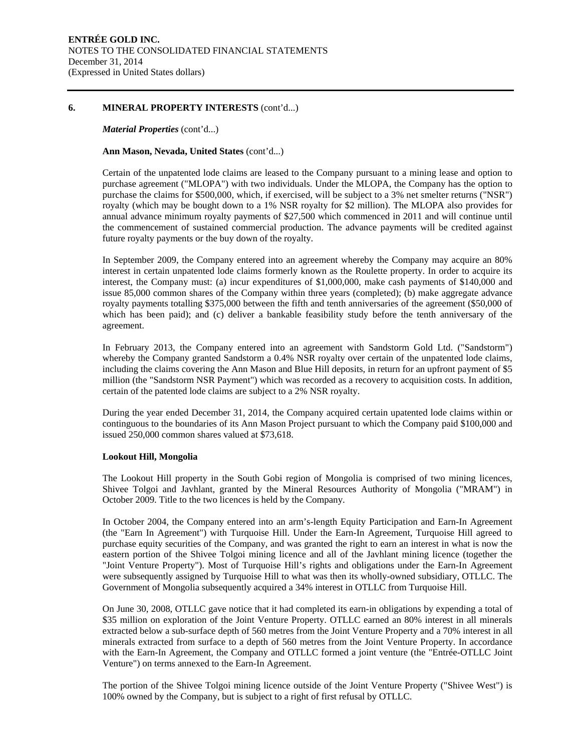#### **6. MINERAL PROPERTY INTERESTS** (cont'd...)

#### *Material Properties* (cont'd...)

#### **Ann Mason, Nevada, United States** (cont'd...)

Certain of the unpatented lode claims are leased to the Company pursuant to a mining lease and option to purchase agreement ("MLOPA") with two individuals. Under the MLOPA, the Company has the option to purchase the claims for \$500,000, which, if exercised, will be subject to a 3% net smelter returns ("NSR") royalty (which may be bought down to a 1% NSR royalty for \$2 million). The MLOPA also provides for annual advance minimum royalty payments of \$27,500 which commenced in 2011 and will continue until the commencement of sustained commercial production. The advance payments will be credited against future royalty payments or the buy down of the royalty.

In September 2009, the Company entered into an agreement whereby the Company may acquire an 80% interest in certain unpatented lode claims formerly known as the Roulette property. In order to acquire its interest, the Company must: (a) incur expenditures of \$1,000,000, make cash payments of \$140,000 and issue 85,000 common shares of the Company within three years (completed); (b) make aggregate advance royalty payments totalling \$375,000 between the fifth and tenth anniversaries of the agreement (\$50,000 of which has been paid); and (c) deliver a bankable feasibility study before the tenth anniversary of the agreement.

In February 2013, the Company entered into an agreement with Sandstorm Gold Ltd. ("Sandstorm") whereby the Company granted Sandstorm a 0.4% NSR royalty over certain of the unpatented lode claims, including the claims covering the Ann Mason and Blue Hill deposits, in return for an upfront payment of \$5 million (the "Sandstorm NSR Payment") which was recorded as a recovery to acquisition costs. In addition, certain of the patented lode claims are subject to a 2% NSR royalty.

During the year ended December 31, 2014, the Company acquired certain upatented lode claims within or continguous to the boundaries of its Ann Mason Project pursuant to which the Company paid \$100,000 and issued 250,000 common shares valued at \$73,618.

#### **Lookout Hill, Mongolia**

The Lookout Hill property in the South Gobi region of Mongolia is comprised of two mining licences, Shivee Tolgoi and Javhlant, granted by the Mineral Resources Authority of Mongolia ("MRAM") in October 2009. Title to the two licences is held by the Company.

In October 2004, the Company entered into an arm's-length Equity Participation and Earn-In Agreement (the "Earn In Agreement") with Turquoise Hill. Under the Earn-In Agreement, Turquoise Hill agreed to purchase equity securities of the Company, and was granted the right to earn an interest in what is now the eastern portion of the Shivee Tolgoi mining licence and all of the Javhlant mining licence (together the "Joint Venture Property"). Most of Turquoise Hill's rights and obligations under the Earn-In Agreement were subsequently assigned by Turquoise Hill to what was then its wholly-owned subsidiary, OTLLC. The Government of Mongolia subsequently acquired a 34% interest in OTLLC from Turquoise Hill.

On June 30, 2008, OTLLC gave notice that it had completed its earn-in obligations by expending a total of \$35 million on exploration of the Joint Venture Property. OTLLC earned an 80% interest in all minerals extracted below a sub-surface depth of 560 metres from the Joint Venture Property and a 70% interest in all minerals extracted from surface to a depth of 560 metres from the Joint Venture Property. In accordance with the Earn-In Agreement, the Company and OTLLC formed a joint venture (the "Entrée-OTLLC Joint Venture") on terms annexed to the Earn-In Agreement.

The portion of the Shivee Tolgoi mining licence outside of the Joint Venture Property ("Shivee West") is 100% owned by the Company, but is subject to a right of first refusal by OTLLC.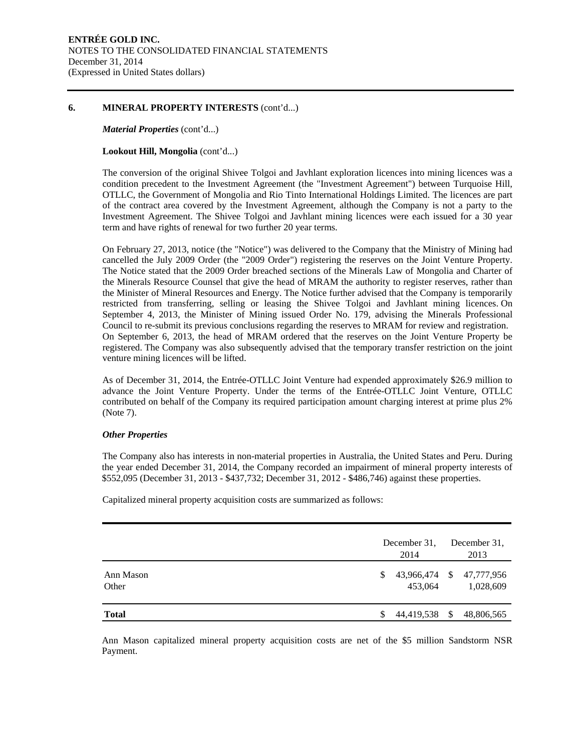#### **6. MINERAL PROPERTY INTERESTS** (cont'd...)

#### *Material Properties* (cont'd...)

#### **Lookout Hill, Mongolia** (cont'd...)

The conversion of the original Shivee Tolgoi and Javhlant exploration licences into mining licences was a condition precedent to the Investment Agreement (the "Investment Agreement") between Turquoise Hill, OTLLC, the Government of Mongolia and Rio Tinto International Holdings Limited. The licences are part of the contract area covered by the Investment Agreement, although the Company is not a party to the Investment Agreement. The Shivee Tolgoi and Javhlant mining licences were each issued for a 30 year term and have rights of renewal for two further 20 year terms.

On February 27, 2013, notice (the "Notice") was delivered to the Company that the Ministry of Mining had cancelled the July 2009 Order (the "2009 Order") registering the reserves on the Joint Venture Property. The Notice stated that the 2009 Order breached sections of the Minerals Law of Mongolia and Charter of the Minerals Resource Counsel that give the head of MRAM the authority to register reserves, rather than the Minister of Mineral Resources and Energy. The Notice further advised that the Company is temporarily restricted from transferring, selling or leasing the Shivee Tolgoi and Javhlant mining licences. On September 4, 2013, the Minister of Mining issued Order No. 179, advising the Minerals Professional Council to re-submit its previous conclusions regarding the reserves to MRAM for review and registration. On September 6, 2013, the head of MRAM ordered that the reserves on the Joint Venture Property be registered. The Company was also subsequently advised that the temporary transfer restriction on the joint venture mining licences will be lifted.

As of December 31, 2014, the Entrée-OTLLC Joint Venture had expended approximately \$26.9 million to advance the Joint Venture Property. Under the terms of the Entrée-OTLLC Joint Venture, OTLLC contributed on behalf of the Company its required participation amount charging interest at prime plus 2% (Note 7).

#### *Other Properties*

The Company also has interests in non-material properties in Australia, the United States and Peru. During the year ended December 31, 2014, the Company recorded an impairment of mineral property interests of \$552,095 (December 31, 2013 - \$437,732; December 31, 2012 - \$486,746) against these properties.

Capitalized mineral property acquisition costs are summarized as follows:

|                    | December 31,<br>2014 | December 31.<br>2013                  |
|--------------------|----------------------|---------------------------------------|
| Ann Mason<br>Other | \$<br>453.064        | 43,966,474 \$ 47,777,956<br>1,028,609 |
| <b>Total</b>       | 44,419,538 \$        | 48,806,565                            |

Ann Mason capitalized mineral property acquisition costs are net of the \$5 million Sandstorm NSR Payment.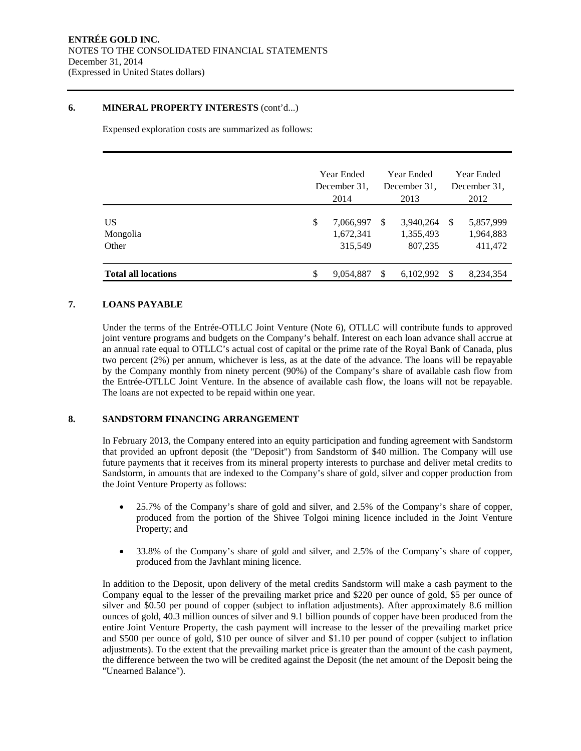#### **6. MINERAL PROPERTY INTERESTS** (cont'd...)

Expensed exploration costs are summarized as follows:

|                            |    | Year Ended<br>December 31.<br>2014 |     | <b>Year Ended</b><br>December 31.<br>2013 |               | Year Ended<br>December 31.<br>2012 |
|----------------------------|----|------------------------------------|-----|-------------------------------------------|---------------|------------------------------------|
| US.<br>Mongolia<br>Other   | \$ | 7,066,997<br>1,672,341<br>315,549  | \$. | 3,940,264<br>1,355,493<br>807,235         | <sup>\$</sup> | 5,857,999<br>1,964,883<br>411,472  |
| <b>Total all locations</b> | S  | 9,054,887                          |     | 6,102,992                                 | \$            | 8,234,354                          |

### **7. LOANS PAYABLE**

Under the terms of the Entrée-OTLLC Joint Venture (Note 6), OTLLC will contribute funds to approved joint venture programs and budgets on the Company's behalf. Interest on each loan advance shall accrue at an annual rate equal to OTLLC's actual cost of capital or the prime rate of the Royal Bank of Canada, plus two percent (2%) per annum, whichever is less, as at the date of the advance. The loans will be repayable by the Company monthly from ninety percent (90%) of the Company's share of available cash flow from the Entrée-OTLLC Joint Venture. In the absence of available cash flow, the loans will not be repayable. The loans are not expected to be repaid within one year.

#### **8. SANDSTORM FINANCING ARRANGEMENT**

In February 2013, the Company entered into an equity participation and funding agreement with Sandstorm that provided an upfront deposit (the "Deposit") from Sandstorm of \$40 million. The Company will use future payments that it receives from its mineral property interests to purchase and deliver metal credits to Sandstorm, in amounts that are indexed to the Company's share of gold, silver and copper production from the Joint Venture Property as follows:

- 25.7% of the Company's share of gold and silver, and 2.5% of the Company's share of copper, produced from the portion of the Shivee Tolgoi mining licence included in the Joint Venture Property; and
- 33.8% of the Company's share of gold and silver, and 2.5% of the Company's share of copper, produced from the Javhlant mining licence.

In addition to the Deposit, upon delivery of the metal credits Sandstorm will make a cash payment to the Company equal to the lesser of the prevailing market price and \$220 per ounce of gold, \$5 per ounce of silver and \$0.50 per pound of copper (subject to inflation adjustments). After approximately 8.6 million ounces of gold, 40.3 million ounces of silver and 9.1 billion pounds of copper have been produced from the entire Joint Venture Property, the cash payment will increase to the lesser of the prevailing market price and \$500 per ounce of gold, \$10 per ounce of silver and \$1.10 per pound of copper (subject to inflation adjustments). To the extent that the prevailing market price is greater than the amount of the cash payment, the difference between the two will be credited against the Deposit (the net amount of the Deposit being the "Unearned Balance").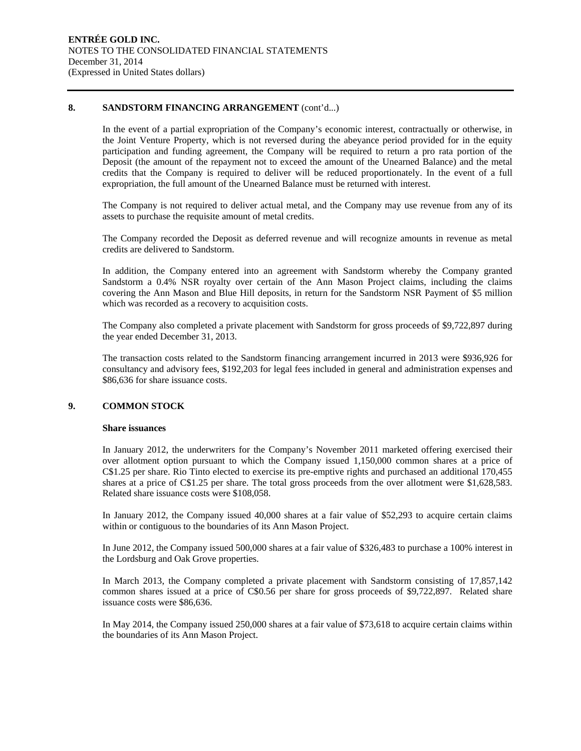#### **8. SANDSTORM FINANCING ARRANGEMENT** (cont'd...)

In the event of a partial expropriation of the Company's economic interest, contractually or otherwise, in the Joint Venture Property, which is not reversed during the abeyance period provided for in the equity participation and funding agreement, the Company will be required to return a pro rata portion of the Deposit (the amount of the repayment not to exceed the amount of the Unearned Balance) and the metal credits that the Company is required to deliver will be reduced proportionately. In the event of a full expropriation, the full amount of the Unearned Balance must be returned with interest.

The Company is not required to deliver actual metal, and the Company may use revenue from any of its assets to purchase the requisite amount of metal credits.

The Company recorded the Deposit as deferred revenue and will recognize amounts in revenue as metal credits are delivered to Sandstorm.

In addition, the Company entered into an agreement with Sandstorm whereby the Company granted Sandstorm a 0.4% NSR royalty over certain of the Ann Mason Project claims, including the claims covering the Ann Mason and Blue Hill deposits, in return for the Sandstorm NSR Payment of \$5 million which was recorded as a recovery to acquisition costs.

The Company also completed a private placement with Sandstorm for gross proceeds of \$9,722,897 during the year ended December 31, 2013.

The transaction costs related to the Sandstorm financing arrangement incurred in 2013 were \$936,926 for consultancy and advisory fees, \$192,203 for legal fees included in general and administration expenses and \$86,636 for share issuance costs.

#### **9. COMMON STOCK**

#### **Share issuances**

In January 2012, the underwriters for the Company's November 2011 marketed offering exercised their over allotment option pursuant to which the Company issued 1,150,000 common shares at a price of C\$1.25 per share. Rio Tinto elected to exercise its pre-emptive rights and purchased an additional 170,455 shares at a price of C\$1.25 per share. The total gross proceeds from the over allotment were \$1,628,583. Related share issuance costs were \$108,058.

In January 2012, the Company issued 40,000 shares at a fair value of \$52,293 to acquire certain claims within or contiguous to the boundaries of its Ann Mason Project.

In June 2012, the Company issued 500,000 shares at a fair value of \$326,483 to purchase a 100% interest in the Lordsburg and Oak Grove properties.

In March 2013, the Company completed a private placement with Sandstorm consisting of 17,857,142 common shares issued at a price of C\$0.56 per share for gross proceeds of \$9,722,897. Related share issuance costs were \$86,636.

In May 2014, the Company issued 250,000 shares at a fair value of \$73,618 to acquire certain claims within the boundaries of its Ann Mason Project.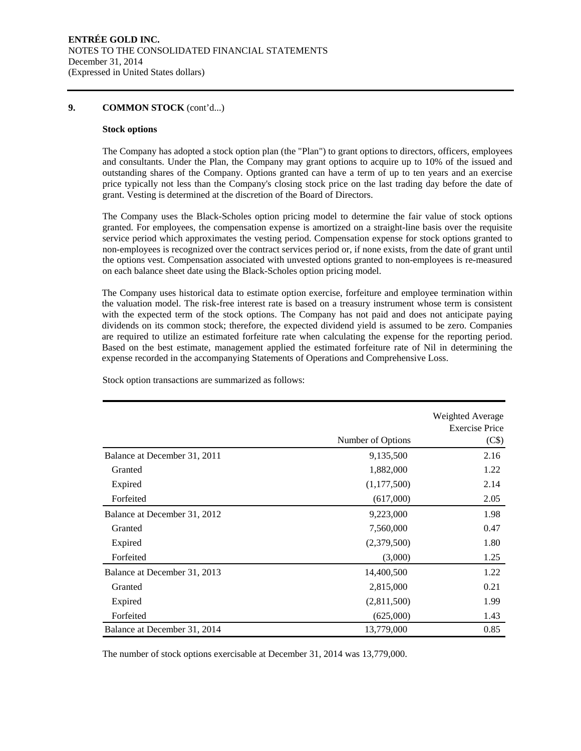#### **9. COMMON STOCK** (cont'd...)

#### **Stock options**

The Company has adopted a stock option plan (the "Plan") to grant options to directors, officers, employees and consultants. Under the Plan, the Company may grant options to acquire up to 10% of the issued and outstanding shares of the Company. Options granted can have a term of up to ten years and an exercise price typically not less than the Company's closing stock price on the last trading day before the date of grant. Vesting is determined at the discretion of the Board of Directors.

The Company uses the Black-Scholes option pricing model to determine the fair value of stock options granted. For employees, the compensation expense is amortized on a straight-line basis over the requisite service period which approximates the vesting period. Compensation expense for stock options granted to non-employees is recognized over the contract services period or, if none exists, from the date of grant until the options vest. Compensation associated with unvested options granted to non-employees is re-measured on each balance sheet date using the Black-Scholes option pricing model.

The Company uses historical data to estimate option exercise, forfeiture and employee termination within the valuation model. The risk-free interest rate is based on a treasury instrument whose term is consistent with the expected term of the stock options. The Company has not paid and does not anticipate paying dividends on its common stock; therefore, the expected dividend yield is assumed to be zero. Companies are required to utilize an estimated forfeiture rate when calculating the expense for the reporting period. Based on the best estimate, management applied the estimated forfeiture rate of Nil in determining the expense recorded in the accompanying Statements of Operations and Comprehensive Loss.

|                              | Number of Options | Weighted Average<br><b>Exercise Price</b><br>(C\$) |
|------------------------------|-------------------|----------------------------------------------------|
| Balance at December 31, 2011 | 9,135,500         | 2.16                                               |
| Granted                      | 1,882,000         | 1.22                                               |
| Expired                      | (1,177,500)       | 2.14                                               |
| Forfeited                    | (617,000)         | 2.05                                               |
| Balance at December 31, 2012 | 9,223,000         | 1.98                                               |
| Granted                      | 7,560,000         | 0.47                                               |
| Expired                      | (2,379,500)       | 1.80                                               |
| Forfeited                    | (3,000)           | 1.25                                               |
| Balance at December 31, 2013 | 14,400,500        | 1.22                                               |
| Granted                      | 2,815,000         | 0.21                                               |
| Expired                      | (2,811,500)       | 1.99                                               |
| Forfeited                    | (625,000)         | 1.43                                               |
| Balance at December 31, 2014 | 13,779,000        | 0.85                                               |

Stock option transactions are summarized as follows:

The number of stock options exercisable at December 31, 2014 was 13,779,000.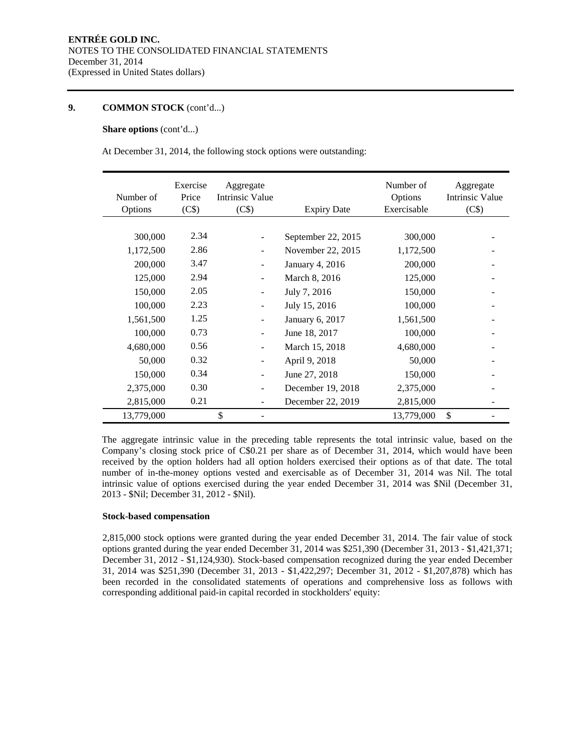#### **9. COMMON STOCK** (cont'd...)

#### **Share options** (cont'd...)

At December 31, 2014, the following stock options were outstanding:

| Number of<br>Options | Exercise<br>Price<br>(C\$) | Aggregate<br>Intrinsic Value<br>(C\$) | <b>Expiry Date</b> | Number of<br>Options<br>Exercisable | Aggregate<br><b>Intrinsic Value</b><br>(C\$) |
|----------------------|----------------------------|---------------------------------------|--------------------|-------------------------------------|----------------------------------------------|
|                      |                            |                                       |                    |                                     |                                              |
| 300,000              | 2.34                       |                                       | September 22, 2015 | 300,000                             |                                              |
| 1,172,500            | 2.86                       | $\overline{\phantom{a}}$              | November 22, 2015  | 1,172,500                           |                                              |
| 200,000              | 3.47                       | $\overline{\phantom{a}}$              | January 4, 2016    | 200,000                             |                                              |
| 125,000              | 2.94                       | $\overline{\phantom{a}}$              | March 8, 2016      | 125,000                             |                                              |
| 150,000              | 2.05                       | $\overline{\phantom{a}}$              | July 7, 2016       | 150,000                             |                                              |
| 100,000              | 2.23                       |                                       | July 15, 2016      | 100,000                             |                                              |
| 1,561,500            | 1.25                       | $\overline{\phantom{a}}$              | January 6, 2017    | 1,561,500                           |                                              |
| 100,000              | 0.73                       | $\overline{\phantom{a}}$              | June 18, 2017      | 100,000                             |                                              |
| 4,680,000            | 0.56                       | $\overline{\phantom{a}}$              | March 15, 2018     | 4,680,000                           |                                              |
| 50,000               | 0.32                       | $\overline{\phantom{a}}$              | April 9, 2018      | 50,000                              |                                              |
| 150,000              | 0.34                       | $\overline{\phantom{a}}$              | June 27, 2018      | 150,000                             |                                              |
| 2,375,000            | 0.30                       | $\blacksquare$                        | December 19, 2018  | 2,375,000                           |                                              |
| 2,815,000            | 0.21                       |                                       | December 22, 2019  | 2,815,000                           |                                              |
| 13,779,000           |                            | \$                                    |                    | 13,779,000                          | \$                                           |

The aggregate intrinsic value in the preceding table represents the total intrinsic value, based on the Company's closing stock price of C\$0.21 per share as of December 31, 2014, which would have been received by the option holders had all option holders exercised their options as of that date. The total number of in-the-money options vested and exercisable as of December 31, 2014 was Nil. The total intrinsic value of options exercised during the year ended December 31, 2014 was \$Nil (December 31, 2013 - \$Nil; December 31, 2012 - \$Nil).

#### **Stock-based compensation**

2,815,000 stock options were granted during the year ended December 31, 2014. The fair value of stock options granted during the year ended December 31, 2014 was \$251,390 (December 31, 2013 - \$1,421,371; December 31, 2012 - \$1,124,930). Stock-based compensation recognized during the year ended December 31, 2014 was \$251,390 (December 31, 2013 - \$1,422,297; December 31, 2012 - \$1,207,878) which has been recorded in the consolidated statements of operations and comprehensive loss as follows with corresponding additional paid-in capital recorded in stockholders' equity: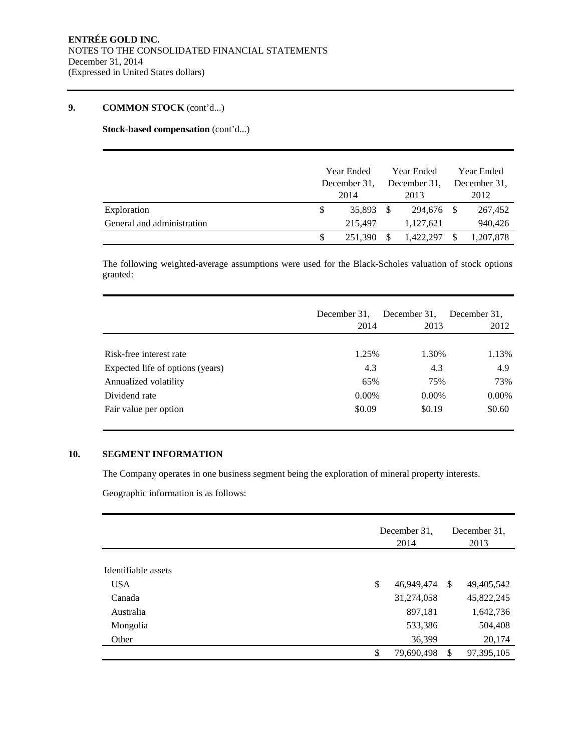# **9. COMMON STOCK** (cont'd...)

**Stock-based compensation** (cont'd...)

|                            |              | <b>Year Ended</b> |              | Year Ended | Year Ended |              |
|----------------------------|--------------|-------------------|--------------|------------|------------|--------------|
|                            | December 31, |                   | December 31, |            |            | December 31. |
|                            |              | 2014              |              | 2013       |            | 2012         |
| Exploration                |              | 35.893            | - \$         | 294.676 \$ |            | 267,452      |
| General and administration |              | 215,497           |              | 1,127,621  |            | 940,426      |
|                            |              | 251.390           |              | 1,422,297  |            | 1,207,878    |

The following weighted-average assumptions were used for the Black-Scholes valuation of stock options granted:

|                                  | December 31.<br>2014 | December 31,<br>2013 | December 31.<br>2012 |
|----------------------------------|----------------------|----------------------|----------------------|
| Risk-free interest rate          | 1.25%                | 1.30%                | 1.13%                |
| Expected life of options (years) | 4.3                  | 4.3                  | 4.9                  |
| Annualized volatility            | 65%                  | 75%                  | 73%                  |
| Dividend rate                    | $0.00\%$             | $0.00\%$             | $0.00\%$             |
| Fair value per option            | \$0.09               | \$0.19               | \$0.60               |

#### **10. SEGMENT INFORMATION**

The Company operates in one business segment being the exploration of mineral property interests.

Geographic information is as follows:

|                     | December 31.<br>2014 | December 31.<br>2013 |            |  |
|---------------------|----------------------|----------------------|------------|--|
| Identifiable assets |                      |                      |            |  |
|                     |                      |                      |            |  |
| <b>USA</b>          | \$<br>46,949,474     | - \$                 | 49,405,542 |  |
| Canada              | 31,274,058           |                      | 45,822,245 |  |
| Australia           | 897,181              |                      | 1,642,736  |  |
| Mongolia            | 533,386              |                      | 504,408    |  |
| Other               | 36,399               |                      | 20,174     |  |
|                     | \$<br>79,690,498     | -S                   | 97,395,105 |  |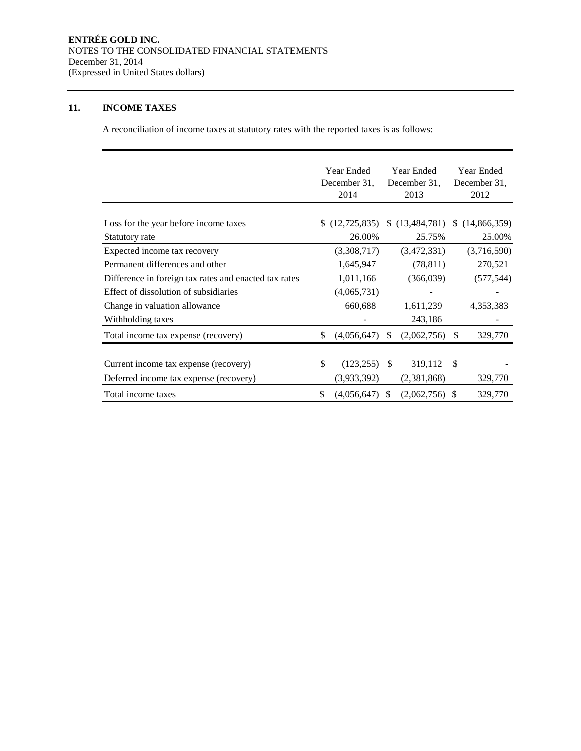### **11. INCOME TAXES**

A reconciliation of income taxes at statutory rates with the reported taxes is as follows:

|                                                       | Year Ended            |               | <b>Year Ended</b> |               | Year Ended   |
|-------------------------------------------------------|-----------------------|---------------|-------------------|---------------|--------------|
|                                                       | December 31,          |               | December 31,      |               | December 31, |
|                                                       | 2014                  |               | 2013              |               | 2012         |
|                                                       |                       |               |                   |               |              |
| Loss for the year before income taxes                 | (12, 725, 835)        | S.            | (13, 484, 781)    | S.            | (14,866,359) |
| Statutory rate                                        | 26.00%                |               | 25.75%            |               | 25.00%       |
| Expected income tax recovery                          | (3,308,717)           |               | (3,472,331)       |               | (3,716,590)  |
| Permanent differences and other                       | 1,645,947             |               | (78, 811)         |               | 270,521      |
| Difference in foreign tax rates and enacted tax rates | 1,011,166             |               | (366,039)         |               | (577, 544)   |
| Effect of dissolution of subsidiaries                 | (4,065,731)           |               |                   |               |              |
| Change in valuation allowance                         | 660,688               |               | 1,611,239         |               | 4,353,383    |
| Withholding taxes                                     |                       |               | 243,186           |               |              |
| Total income tax expense (recovery)                   | \$<br>(4,056,647)     | \$            | (2,062,756)       | \$            | 329,770      |
|                                                       |                       |               |                   |               |              |
| Current income tax expense (recovery)                 | \$<br>$(123, 255)$ \$ |               | 319,112           | $\mathcal{S}$ |              |
| Deferred income tax expense (recovery)                | (3,933,392)           |               | (2,381,868)       |               | 329,770      |
| Total income taxes                                    | \$<br>(4,056,647)     | <sup>\$</sup> | (2,062,756)       | -S            | 329,770      |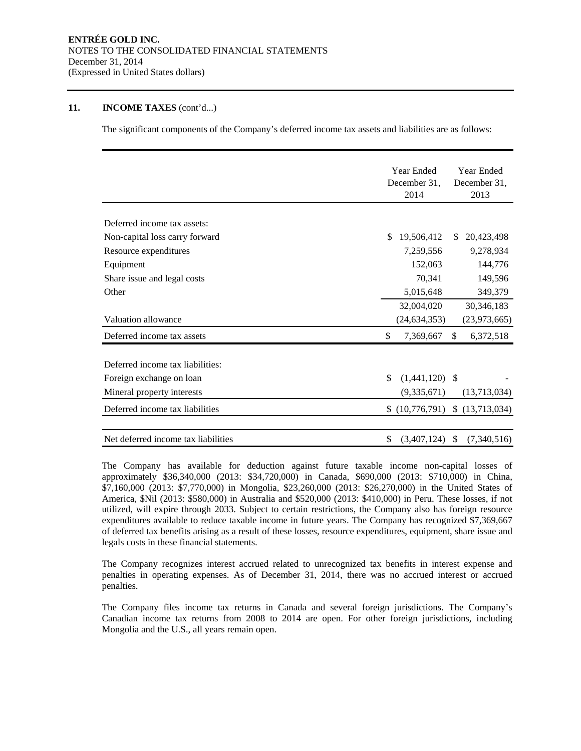#### **11. INCOME TAXES** (cont'd...)

The significant components of the Company's deferred income tax assets and liabilities are as follows:

|                                     | <b>Year Ended</b><br>Year Ended                  |
|-------------------------------------|--------------------------------------------------|
|                                     | December 31,<br>December 31,                     |
|                                     | 2014<br>2013                                     |
|                                     |                                                  |
| Deferred income tax assets:         |                                                  |
| Non-capital loss carry forward      | \$.<br>19,506,412<br>20,423,498<br>S.            |
| Resource expenditures               | 9,278,934<br>7,259,556                           |
| Equipment                           | 152,063<br>144,776                               |
| Share issue and legal costs         | 70,341<br>149,596                                |
| Other                               | 5,015,648<br>349,379                             |
|                                     | 32,004,020<br>30,346,183                         |
| Valuation allowance                 | (24, 634, 353)<br>(23, 973, 665)                 |
| Deferred income tax assets          | \$<br>7,369,667<br>$\mathbb{S}$<br>6,372,518     |
| Deferred income tax liabilities:    |                                                  |
| Foreign exchange on loan            | \$<br>$(1,441,120)$ \$                           |
| Mineral property interests          | (13,713,034)<br>(9,335,671)                      |
| Deferred income tax liabilities     | $(10,776,791)$ \$ $(13,713,034)$                 |
| Net deferred income tax liabilities | \$<br>$\mathbb{S}$<br>(3,407,124)<br>(7,340,516) |
|                                     |                                                  |

The Company has available for deduction against future taxable income non-capital losses of approximately \$36,340,000 (2013: \$34,720,000) in Canada, \$690,000 (2013: \$710,000) in China, \$7,160,000 (2013: \$7,770,000) in Mongolia, \$23,260,000 (2013: \$26,270,000) in the United States of America, \$Nil (2013: \$580,000) in Australia and \$520,000 (2013: \$410,000) in Peru. These losses, if not utilized, will expire through 2033. Subject to certain restrictions, the Company also has foreign resource expenditures available to reduce taxable income in future years. The Company has recognized \$7,369,667 of deferred tax benefits arising as a result of these losses, resource expenditures, equipment, share issue and legals costs in these financial statements.

The Company recognizes interest accrued related to unrecognized tax benefits in interest expense and penalties in operating expenses. As of December 31, 2014, there was no accrued interest or accrued penalties.

The Company files income tax returns in Canada and several foreign jurisdictions. The Company's Canadian income tax returns from 2008 to 2014 are open. For other foreign jurisdictions, including Mongolia and the U.S., all years remain open.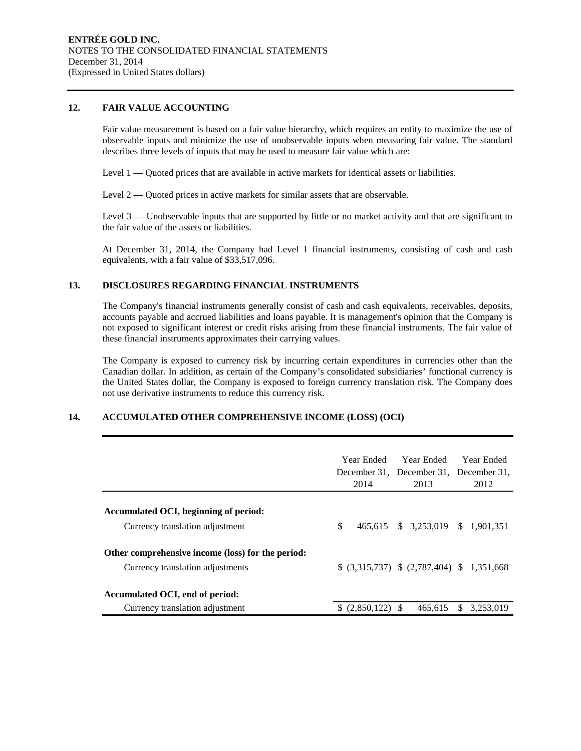#### **12. FAIR VALUE ACCOUNTING**

Fair value measurement is based on a fair value hierarchy, which requires an entity to maximize the use of observable inputs and minimize the use of unobservable inputs when measuring fair value. The standard describes three levels of inputs that may be used to measure fair value which are:

Level 1 — Quoted prices that are available in active markets for identical assets or liabilities.

Level 2 — Quoted prices in active markets for similar assets that are observable.

Level 3 — Unobservable inputs that are supported by little or no market activity and that are significant to the fair value of the assets or liabilities.

At December 31, 2014, the Company had Level 1 financial instruments, consisting of cash and cash equivalents, with a fair value of \$33,517,096.

#### **13. DISCLOSURES REGARDING FINANCIAL INSTRUMENTS**

The Company's financial instruments generally consist of cash and cash equivalents, receivables, deposits, accounts payable and accrued liabilities and loans payable. It is management's opinion that the Company is not exposed to significant interest or credit risks arising from these financial instruments. The fair value of these financial instruments approximates their carrying values.

The Company is exposed to currency risk by incurring certain expenditures in currencies other than the Canadian dollar. In addition, as certain of the Company's consolidated subsidiaries' functional currency is the United States dollar, the Company is exposed to foreign currency translation risk. The Company does not use derivative instruments to reduce this currency risk.

### **14. ACCUMULATED OTHER COMPREHENSIVE INCOME (LOSS) (OCI)**

|                                                   | Year Ended –<br>2014 | Year Ended<br>December 31, December 31, December 31,<br>2013 | Year Ended<br>2012 |
|---------------------------------------------------|----------------------|--------------------------------------------------------------|--------------------|
|                                                   |                      |                                                              |                    |
| Accumulated OCI, beginning of period:             |                      |                                                              |                    |
| Currency translation adjustment                   | \$                   | 465,615 \$ 3,253,019 \$ 1,901,351                            |                    |
| Other comprehensive income (loss) for the period: |                      |                                                              |                    |
| Currency translation adjustments                  |                      | $$$ (3,315,737) $$$ (2,787,404) $$$ 1,351,668                |                    |
|                                                   |                      |                                                              |                    |
| Accumulated OCI, end of period:                   |                      |                                                              |                    |
| Currency translation adjustment                   |                      | 465.615                                                      | \$.<br>3.253.019   |